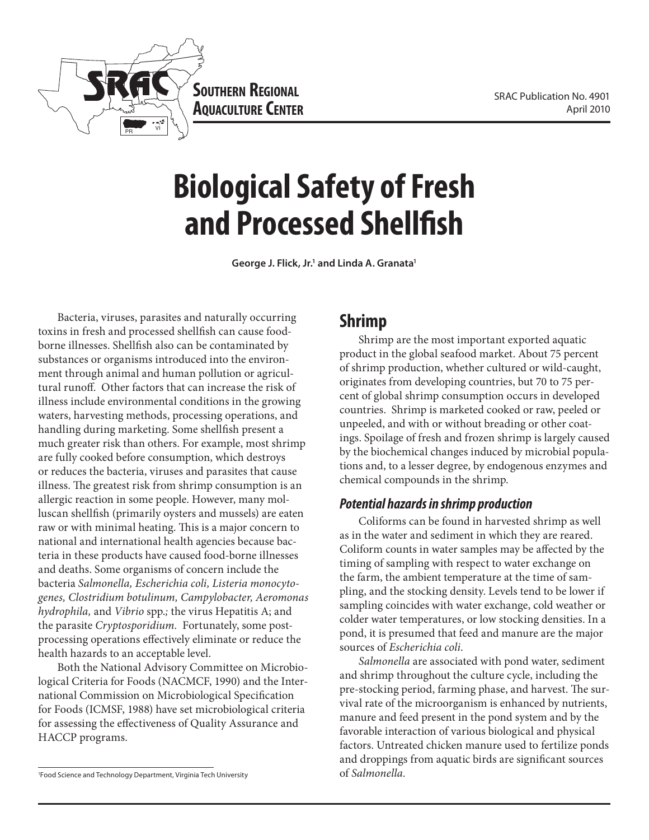

**Southern Regional AQUACULTURE CENTER** 

# **Biological Safety of Fresh and Processed Shellfish**

George J. Flick, Jr.<sup>1</sup> and Linda A. Granata<sup>1</sup>

Bacteria, viruses, parasites and naturally occurring toxins in fresh and processed shellfish can cause foodborne illnesses. Shellfish also can be contaminated by substances or organisms introduced into the environment through animal and human pollution or agricultural runoff. Other factors that can increase the risk of illness include environmental conditions in the growing waters, harvesting methods, processing operations, and handling during marketing. Some shellfish present a much greater risk than others. For example, most shrimp are fully cooked before consumption, which destroys or reduces the bacteria, viruses and parasites that cause illness. The greatest risk from shrimp consumption is an allergic reaction in some people. However, many molluscan shellfish (primarily oysters and mussels) are eaten raw or with minimal heating. This is a major concern to national and international health agencies because bacteria in these products have caused food-borne illnesses and deaths. Some organisms of concern include the bacteria *Salmonella, Escherichia coli, Listeria monocytogenes, Clostridium botulinum, Campylobacter, Aeromonas hydrophila,* and *Vibrio* spp.*;* the virus Hepatitis A; and the parasite *Cryptosporidium.* Fortunately, some postprocessing operations effectively eliminate or reduce the health hazards to an acceptable level.

Both the National Advisory Committee on Microbiological Criteria for Foods (NACMCF, 1990) and the International Commission on Microbiological Specification for Foods (ICMSF, 1988) have set microbiological criteria for assessing the effectiveness of Quality Assurance and HACCP programs.

#### **Shrimp**

Shrimp are the most important exported aquatic product in the global seafood market. About 75 percent of shrimp production, whether cultured or wild-caught, originates from developing countries, but 70 to 75 percent of global shrimp consumption occurs in developed countries. Shrimp is marketed cooked or raw, peeled or unpeeled, and with or without breading or other coatings. Spoilage of fresh and frozen shrimp is largely caused by the biochemical changes induced by microbial populations and, to a lesser degree, by endogenous enzymes and chemical compounds in the shrimp.

#### *Potential hazards in shrimp production*

Coliforms can be found in harvested shrimp as well as in the water and sediment in which they are reared. Coliform counts in water samples may be affected by the timing of sampling with respect to water exchange on the farm, the ambient temperature at the time of sampling, and the stocking density. Levels tend to be lower if sampling coincides with water exchange, cold weather or colder water temperatures, or low stocking densities. In a pond, it is presumed that feed and manure are the major sources of *Escherichia coli*.

*Salmonella* are associated with pond water, sediment and shrimp throughout the culture cycle, including the pre-stocking period, farming phase, and harvest. The survival rate of the microorganism is enhanced by nutrients, manure and feed present in the pond system and by the favorable interaction of various biological and physical factors. Untreated chicken manure used to fertilize ponds and droppings from aquatic birds are significant sources of *Salmonella.*

<sup>1</sup> Food Science and Technology Department, Virginia Tech University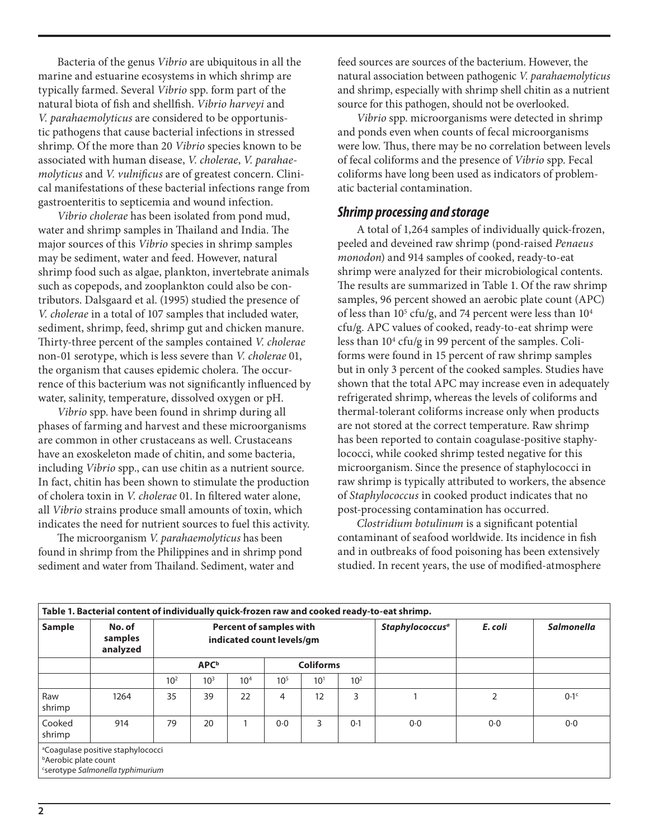Bacteria of the genus *Vibrio* are ubiquitous in all the marine and estuarine ecosystems in which shrimp are typically farmed. Several *Vibrio* spp. form part of the natural biota of fish and shellfish. *Vibrio harveyi* and *V. parahaemolyticus* are considered to be opportunistic pathogens that cause bacterial infections in stressed shrimp. Of the more than 20 *Vibrio* species known to be associated with human disease, *V. cholerae*, *V. parahaemolyticus* and *V. vulnificus* are of greatest concern. Clinical manifestations of these bacterial infections range from gastroenteritis to septicemia and wound infection.

*Vibrio cholerae* has been isolated from pond mud, water and shrimp samples in Thailand and India. The major sources of this *Vibrio* species in shrimp samples may be sediment, water and feed. However, natural shrimp food such as algae, plankton, invertebrate animals such as copepods, and zooplankton could also be contributors. Dalsgaard et al. (1995) studied the presence of *V. cholerae* in a total of 107 samples that included water, sediment, shrimp, feed, shrimp gut and chicken manure. Thirty-three percent of the samples contained *V. cholerae*  non-01 serotype, which is less severe than *V. cholerae* 01, the organism that causes epidemic cholera*.* The occurrence of this bacterium was not significantly influenced by water, salinity, temperature, dissolved oxygen or pH.

*Vibrio* spp. have been found in shrimp during all phases of farming and harvest and these microorganisms are common in other crustaceans as well. Crustaceans have an exoskeleton made of chitin, and some bacteria, including *Vibrio* spp., can use chitin as a nutrient source. In fact, chitin has been shown to stimulate the production of cholera toxin in *V. cholerae* 01. In filtered water alone, all *Vibrio* strains produce small amounts of toxin, which indicates the need for nutrient sources to fuel this activity.

The microorganism *V. parahaemolyticus* has been found in shrimp from the Philippines and in shrimp pond sediment and water from Thailand. Sediment, water and

feed sources are sources of the bacterium. However, the natural association between pathogenic *V. parahaemolyticus* and shrimp, especially with shrimp shell chitin as a nutrient source for this pathogen, should not be overlooked.

*Vibrio* spp. microorganisms were detected in shrimp and ponds even when counts of fecal microorganisms were low. Thus, there may be no correlation between levels of fecal coliforms and the presence of *Vibrio* spp. Fecal coliforms have long been used as indicators of problematic bacterial contamination.

#### *Shrimp processing and storage*

A total of 1,264 samples of individually quick-frozen, peeled and deveined raw shrimp (pond-raised *Penaeus monodon*) and 914 samples of cooked, ready-to-eat shrimp were analyzed for their microbiological contents. The results are summarized in Table 1. Of the raw shrimp samples, 96 percent showed an aerobic plate count (APC) of less than 10<sup>5</sup> cfu/g, and 74 percent were less than 10<sup>4</sup> cfu/g. APC values of cooked, ready-to-eat shrimp were less than 10<sup>4</sup> cfu/g in 99 percent of the samples. Coliforms were found in 15 percent of raw shrimp samples but in only 3 percent of the cooked samples. Studies have shown that the total APC may increase even in adequately refrigerated shrimp, whereas the levels of coliforms and thermal-tolerant coliforms increase only when products are not stored at the correct temperature. Raw shrimp has been reported to contain coagulase-positive staphylococci, while cooked shrimp tested negative for this microorganism. Since the presence of staphylococci in raw shrimp is typically attributed to workers, the absence of *Staphylococcus* in cooked product indicates that no post-processing contamination has occurred.

*Clostridium botulinum* is a significant potential contaminant of seafood worldwide. Its incidence in fish and in outbreaks of food poisoning has been extensively studied. In recent years, the use of modified-atmosphere

| Table 1. Bacterial content of individually quick-frozen raw and cooked ready-to-eat shrimp. |                                                                                         |                         |                 |                                                             |                 |          |          |                                   |                |                   |  |  |
|---------------------------------------------------------------------------------------------|-----------------------------------------------------------------------------------------|-------------------------|-----------------|-------------------------------------------------------------|-----------------|----------|----------|-----------------------------------|----------------|-------------------|--|--|
| Sample                                                                                      | No. of<br>samples<br>analyzed                                                           |                         |                 | <b>Percent of samples with</b><br>indicated count levels/gm |                 |          |          | <b>Staphylococcus<sup>a</sup></b> | E. coli        | <b>Salmonella</b> |  |  |
|                                                                                             |                                                                                         | <b>APC</b> <sup>b</sup> |                 | <b>Coliforms</b>                                            |                 |          |          |                                   |                |                   |  |  |
|                                                                                             |                                                                                         | 10 <sup>2</sup>         | 10 <sup>3</sup> | 10 <sup>4</sup>                                             | 10 <sup>5</sup> | $10^{1}$ | $10^{2}$ |                                   |                |                   |  |  |
| Raw<br>shrimp                                                                               | 1264                                                                                    | 35                      | 39              | 22                                                          | 4               | 12       | 3        |                                   | $\overline{2}$ | 0.1 <sup>c</sup>  |  |  |
| Cooked<br>shrimp                                                                            | 914                                                                                     | 79                      | 20              |                                                             | 0.0             | 3        | 0.1      | $0-0$                             | 0.0            | 0.0               |  |  |
| <sup>b</sup> Aerobic plate count                                                            | <sup>a</sup> Coagulase positive staphylococci<br><i>Serotype Salmonella typhimurium</i> |                         |                 |                                                             |                 |          |          |                                   |                |                   |  |  |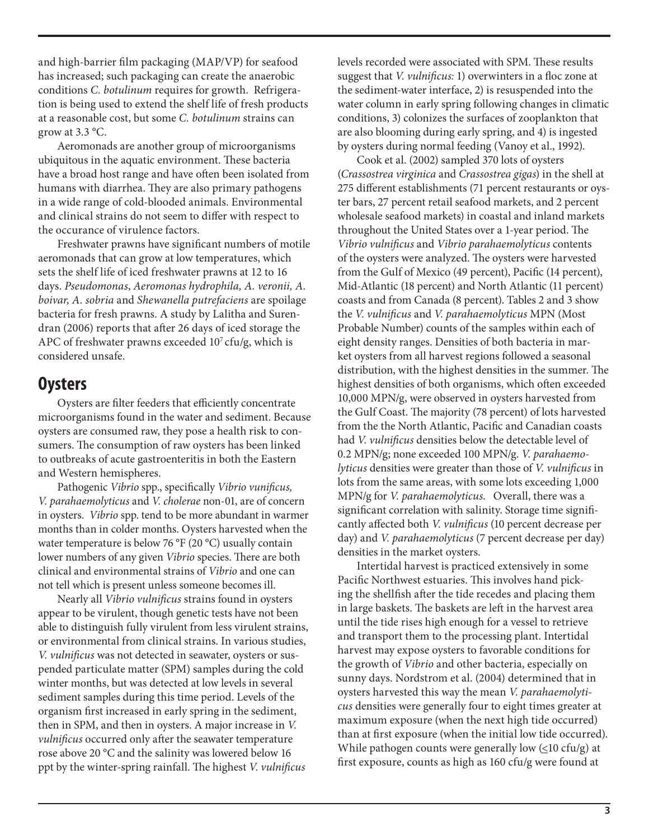and high-barrier film packaging (MAP/VP) for seafood has increased; such packaging can create the anaerobic conditions *C. botulinum* requires for growth. Refrigeration is being used to extend the shelf life of fresh products at a reasonable cost, but some *C. botulinum* strains can grow at 3.3 °C.

Aeromonads are another group of microorganisms ubiquitous in the aquatic environment. These bacteria have a broad host range and have often been isolated from humans with diarrhea. They are also primary pathogens in a wide range of cold-blooded animals. Environmental and clinical strains do not seem to differ with respect to the occurance of virulence factors.

Freshwater prawns have significant numbers of motile aeromonads that can grow at low temperatures, which sets the shelf life of iced freshwater prawns at 12 to 16 days. *Pseudomonas*, *Aeromonas hydrophila, A. veronii, A. boivar, A. sobria* and *Shewanella putrefaciens* are spoilage bacteria for fresh prawns. A study by Lalitha and Surendran (2006) reports that after 26 days of iced storage the APC of freshwater prawns exceeded  $10<sup>7</sup>$  cfu/g, which is considered unsafe.

## **Oysters**

Oysters are filter feeders that efficiently concentrate microorganisms found in the water and sediment. Because oysters are consumed raw, they pose a health risk to consumers. The consumption of raw oysters has been linked to outbreaks of acute gastroenteritis in both the Eastern and Western hemispheres.

Pathogenic *Vibrio* spp., specifically *Vibrio vunificus, V. parahaemolyticus* and *V. cholerae* non-01, are of concern in oysters. *Vibrio* spp. tend to be more abundant in warmer months than in colder months. Oysters harvested when the water temperature is below 76 °F (20 °C) usually contain lower numbers of any given *Vibrio* species. There are both clinical and environmental strains of *Vibrio* and one can not tell which is present unless someone becomes ill.

Nearly all *Vibrio vulnificus* strains found in oysters appear to be virulent, though genetic tests have not been able to distinguish fully virulent from less virulent strains, or environmental from clinical strains. In various studies, *V. vulnificus* was not detected in seawater, oysters or suspended particulate matter (SPM) samples during the cold winter months, but was detected at low levels in several sediment samples during this time period. Levels of the organism first increased in early spring in the sediment, then in SPM, and then in oysters. A major increase in *V. vulnificus* occurred only after the seawater temperature rose above 20 °C and the salinity was lowered below 16 ppt by the winter-spring rainfall. The highest *V. vulnificus*

levels recorded were associated with SPM. These results suggest that *V. vulnificus:* 1) overwinters in a floc zone at the sediment-water interface, 2) is resuspended into the water column in early spring following changes in climatic conditions, 3) colonizes the surfaces of zooplankton that are also blooming during early spring, and 4) is ingested by oysters during normal feeding (Vanoy et al., 1992).

Cook et al. (2002) sampled 370 lots of oysters (*Crassostrea virginica* and *Crassostrea gigas*) in the shell at 275 different establishments (71 percent restaurants or oyster bars, 27 percent retail seafood markets, and 2 percent wholesale seafood markets) in coastal and inland markets throughout the United States over a 1-year period. The *Vibrio vulnificus* and *Vibrio parahaemolyticus* contents of the oysters were analyzed. The oysters were harvested from the Gulf of Mexico (49 percent), Pacific (14 percent), Mid-Atlantic (18 percent) and North Atlantic (11 percent) coasts and from Canada (8 percent). Tables 2 and 3 show the *V. vulnificus* and *V. parahaemolyticus* MPN (Most Probable Number) counts of the samples within each of eight density ranges. Densities of both bacteria in market oysters from all harvest regions followed a seasonal distribution, with the highest densities in the summer. The highest densities of both organisms, which often exceeded 10,000 MPN/g, were observed in oysters harvested from the Gulf Coast. The majority (78 percent) of lots harvested from the the North Atlantic, Pacific and Canadian coasts had *V. vulnificus* densities below the detectable level of 0.2 MPN/g; none exceeded 100 MPN/g. *V. parahaemolyticus* densities were greater than those of *V. vulnificus* in lots from the same areas, with some lots exceeding 1,000 MPN/g for *V. parahaemolyticus*. Overall, there was a significant correlation with salinity. Storage time significantly affected both *V. vulnificus* (10 percent decrease per day) and *V. parahaemolyticus* (7 percent decrease per day) densities in the market oysters.

Intertidal harvest is practiced extensively in some Pacific Northwest estuaries. This involves hand picking the shellfish after the tide recedes and placing them in large baskets. The baskets are left in the harvest area until the tide rises high enough for a vessel to retrieve and transport them to the processing plant. Intertidal harvest may expose oysters to favorable conditions for the growth of *Vibrio* and other bacteria, especially on sunny days. Nordstrom et al. (2004) determined that in oysters harvested this way the mean *V. parahaemolyticus* densities were generally four to eight times greater at maximum exposure (when the next high tide occurred) than at first exposure (when the initial low tide occurred). While pathogen counts were generally low  $(\leq 10 \text{ cfu/g})$  at first exposure, counts as high as 160 cfu/g were found at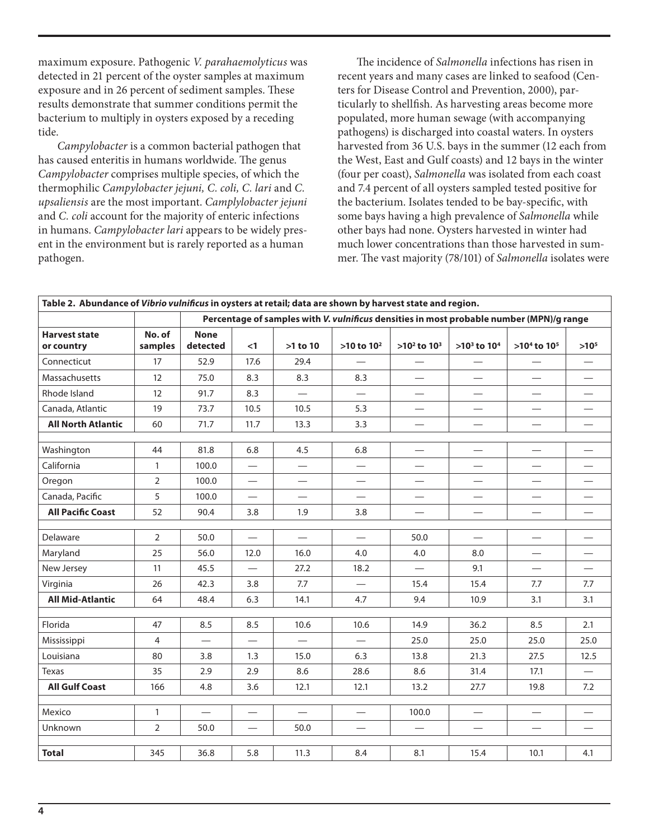maximum exposure. Pathogenic *V. parahaemolyticus* was detected in 21 percent of the oyster samples at maximum exposure and in 26 percent of sediment samples. These results demonstrate that summer conditions permit the bacterium to multiply in oysters exposed by a receding tide.

*Campylobacter* is a common bacterial pathogen that has caused enteritis in humans worldwide. The genus *Campylobacter* comprises multiple species, of which the thermophilic *Campylobacter jejuni, C. coli, C. lari* and *C. upsaliensis* are the most important. *Camplylobacter jejuni* and *C. coli* account for the majority of enteric infections in humans. *Campylobacter lari* appears to be widely present in the environment but is rarely reported as a human pathogen.

The incidence of *Salmonella* infections has risen in recent years and many cases are linked to seafood (Centers for Disease Control and Prevention, 2000), particularly to shellfish. As harvesting areas become more populated, more human sewage (with accompanying pathogens) is discharged into coastal waters. In oysters harvested from 36 U.S. bays in the summer (12 each from the West, East and Gulf coasts) and 12 bays in the winter (four per coast), *Salmonella* was isolated from each coast and 7.4 percent of all oysters sampled tested positive for the bacterium. Isolates tended to be bay-specific, with some bays having a high prevalence of *Salmonella* while other bays had none. Oysters harvested in winter had much lower concentrations than those harvested in summer. The vast majority (78/101) of *Salmonella* isolates were

| Table 2. Abundance of Vibrio vulnificus in oysters at retail; data are shown by harvest state and region. |                   |                                                                                          |                          |                          |                          |                               |                                  |                          |           |  |
|-----------------------------------------------------------------------------------------------------------|-------------------|------------------------------------------------------------------------------------------|--------------------------|--------------------------|--------------------------|-------------------------------|----------------------------------|--------------------------|-----------|--|
|                                                                                                           |                   | Percentage of samples with V. vulnificus densities in most probable number (MPN)/g range |                          |                          |                          |                               |                                  |                          |           |  |
| <b>Harvest state</b><br>or country                                                                        | No. of<br>samples | <b>None</b><br>detected                                                                  | $\leq$ 1                 | $>1$ to $10$             | $>10$ to $102$           | $>10^2$ to $10^3$             | $>10^3$ to $10^4$                | $>10^4$ to $10^5$        | $>10^{5}$ |  |
| Connecticut                                                                                               | 17                | 52.9                                                                                     | 17.6                     | 29.4                     |                          |                               |                                  |                          |           |  |
| Massachusetts                                                                                             | 12                | 75.0                                                                                     | 8.3                      | 8.3                      | 8.3                      | $\overline{\phantom{0}}$      | $\overline{\phantom{0}}$         | $\overline{\phantom{0}}$ |           |  |
| Rhode Island                                                                                              | 12                | 91.7                                                                                     | 8.3                      | $\overline{\phantom{0}}$ |                          |                               |                                  |                          |           |  |
| Canada, Atlantic                                                                                          | 19                | 73.7                                                                                     | 10.5                     | 10.5                     | 5.3                      | $\overbrace{\phantom{12333}}$ | $\overbrace{\phantom{12322111}}$ |                          |           |  |
| <b>All North Atlantic</b>                                                                                 | 60                | 71.7                                                                                     | 11.7                     | 13.3                     | 3.3                      |                               |                                  |                          |           |  |
|                                                                                                           | 44                |                                                                                          |                          | 4.5                      | 6.8                      |                               |                                  |                          |           |  |
| Washington                                                                                                |                   | 81.8                                                                                     | 6.8                      |                          |                          |                               | $\overline{\phantom{0}}$         |                          |           |  |
| California                                                                                                | $\mathbf{1}$      | 100.0                                                                                    |                          |                          |                          |                               | $\overline{\phantom{0}}$         |                          |           |  |
| Oregon                                                                                                    | 2                 | 100.0                                                                                    | —                        |                          |                          |                               |                                  |                          |           |  |
| Canada, Pacific                                                                                           | 5                 | 100.0                                                                                    |                          |                          | $\overline{\phantom{0}}$ |                               | $\overline{\phantom{0}}$         | $\overline{\phantom{0}}$ |           |  |
| <b>All Pacific Coast</b>                                                                                  | 52                | 90.4                                                                                     | 3.8                      | 1.9                      | 3.8                      |                               |                                  |                          |           |  |
| Delaware                                                                                                  | $\overline{2}$    | 50.0                                                                                     | $\overline{\phantom{0}}$ |                          |                          | 50.0                          |                                  |                          |           |  |
| Maryland                                                                                                  | 25                | 56.0                                                                                     | 12.0                     | 16.0                     | 4.0                      | 4.0                           | 8.0                              | $\overline{\phantom{0}}$ |           |  |
| New Jersey                                                                                                | 11                | 45.5                                                                                     |                          | 27.2                     | 18.2                     |                               | 9.1                              |                          |           |  |
| Virginia                                                                                                  | 26                | 42.3                                                                                     | 3.8                      | 7.7                      | $\overline{\phantom{0}}$ | 15.4                          | 15.4                             | 7.7                      | 7.7       |  |
| <b>All Mid-Atlantic</b>                                                                                   | 64                | 48.4                                                                                     | 6.3                      | 14.1                     | 4.7                      | 9.4                           | 10.9                             | 3.1                      | 3.1       |  |
| Florida                                                                                                   | 47                | 8.5                                                                                      | 8.5                      | 10.6                     | 10.6                     | 14.9                          | 36.2                             | 8.5                      | 2.1       |  |
|                                                                                                           |                   |                                                                                          |                          |                          |                          |                               |                                  |                          |           |  |
| Mississippi                                                                                               | 4                 |                                                                                          | $\qquad \qquad -$        |                          | $\overline{\phantom{0}}$ | 25.0                          | 25.0                             | 25.0                     | 25.0      |  |
| Louisiana                                                                                                 | 80                | 3.8                                                                                      | 1.3                      | 15.0                     | 6.3                      | 13.8                          | 21.3                             | 27.5                     | 12.5      |  |
| <b>Texas</b>                                                                                              | 35                | 2.9                                                                                      | 2.9                      | 8.6                      | 28.6                     | 8.6                           | 31.4                             | 17.1                     |           |  |
| <b>All Gulf Coast</b>                                                                                     | 166               | 4.8                                                                                      | 3.6                      | 12.1                     | 12.1                     | 13.2                          | 27.7                             | 19.8                     | 7.2       |  |
| Mexico                                                                                                    | 1                 | $\equiv$                                                                                 |                          |                          | $\overline{\phantom{0}}$ | 100.0                         | $\qquad \qquad$                  |                          |           |  |
| Unknown                                                                                                   | $\overline{2}$    | 50.0                                                                                     | $\qquad \qquad$          | 50.0                     | $\overline{\phantom{0}}$ |                               | $\overline{\phantom{0}}$         |                          |           |  |
|                                                                                                           |                   |                                                                                          |                          |                          |                          |                               |                                  |                          |           |  |
| <b>Total</b>                                                                                              | 345               | 36.8                                                                                     | 5.8                      | 11.3                     | 8.4                      | 8.1                           | 15.4                             | 10.1                     | 4.1       |  |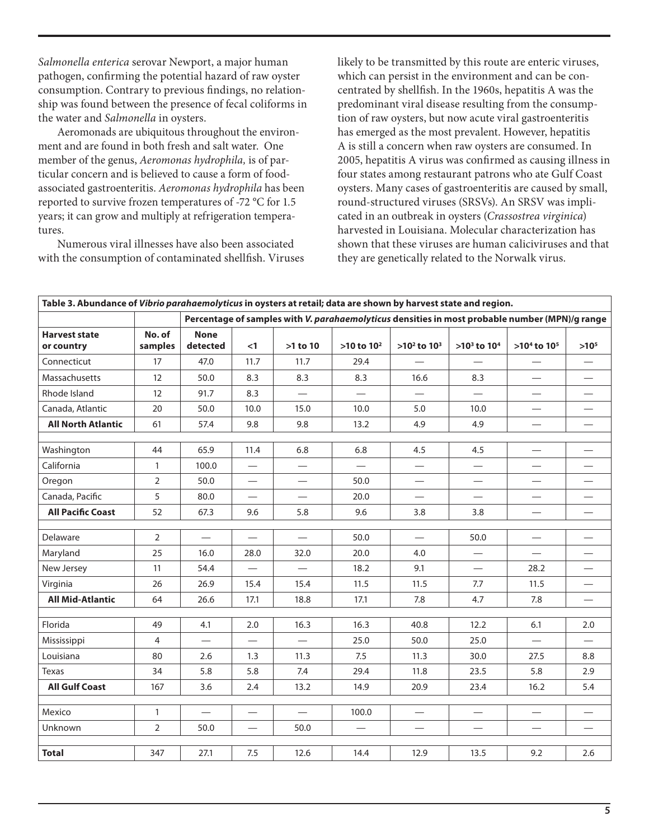*Salmonella enterica* serovar Newport, a major human pathogen, confirming the potential hazard of raw oyster consumption. Contrary to previous findings, no relationship was found between the presence of fecal coliforms in the water and *Salmonella* in oysters.

Aeromonads are ubiquitous throughout the environment and are found in both fresh and salt water. One member of the genus, *Aeromonas hydrophila,* is of particular concern and is believed to cause a form of foodassociated gastroenteritis. *Aeromonas hydrophila* has been reported to survive frozen temperatures of -72 °C for 1.5 years; it can grow and multiply at refrigeration temperatures.

Numerous viral illnesses have also been associated with the consumption of contaminated shellfish. Viruses likely to be transmitted by this route are enteric viruses, which can persist in the environment and can be concentrated by shellfish. In the 1960s, hepatitis A was the predominant viral disease resulting from the consumption of raw oysters, but now acute viral gastroenteritis has emerged as the most prevalent. However, hepatitis A is still a concern when raw oysters are consumed. In 2005, hepatitis A virus was confirmed as causing illness in four states among restaurant patrons who ate Gulf Coast oysters. Many cases of gastroenteritis are caused by small, round-structured viruses (SRSVs). An SRSV was implicated in an outbreak in oysters (*Crassostrea virginica*) harvested in Louisiana. Molecular characterization has shown that these viruses are human caliciviruses and that they are genetically related to the Norwalk virus.

| Table 3. Abundance of Vibrio parahaemolyticus in oysters at retail; data are shown by harvest state and region. |                   |                                                                                                |                          |                                  |                |                          |                                   |                          |                                  |  |
|-----------------------------------------------------------------------------------------------------------------|-------------------|------------------------------------------------------------------------------------------------|--------------------------|----------------------------------|----------------|--------------------------|-----------------------------------|--------------------------|----------------------------------|--|
|                                                                                                                 |                   | Percentage of samples with V. parahaemolyticus densities in most probable number (MPN)/g range |                          |                                  |                |                          |                                   |                          |                                  |  |
| <b>Harvest state</b><br>or country                                                                              | No. of<br>samples | <b>None</b><br>detected                                                                        | $<$ 1                    | >1 to 10                         | $>10$ to $102$ | $>10^2$ to $10^3$        | $>10^3$ to $10^4$                 | $>10^4$ to $10^5$        | $>10^{5}$                        |  |
| Connecticut                                                                                                     | 17                | 47.0                                                                                           | 11.7                     | 11.7                             | 29.4           |                          |                                   |                          |                                  |  |
| Massachusetts                                                                                                   | 12                | 50.0                                                                                           | 8.3                      | 8.3                              | 8.3            | 16.6                     | 8.3                               |                          |                                  |  |
| Rhode Island                                                                                                    | 12                | 91.7                                                                                           | 8.3                      |                                  |                |                          |                                   |                          |                                  |  |
| Canada, Atlantic                                                                                                | 20                | 50.0                                                                                           | 10.0                     | 15.0                             | 10.0           | 5.0                      | 10.0                              |                          |                                  |  |
| <b>All North Atlantic</b>                                                                                       | 61                | 57.4                                                                                           | 9.8                      | 9.8                              | 13.2           | 4.9                      | 4.9                               |                          |                                  |  |
| Washington                                                                                                      | 44                | 65.9                                                                                           | 11.4                     | 6.8                              | 6.8            | 4.5                      | 4.5                               |                          |                                  |  |
| California                                                                                                      | $\mathbf{1}$      | 100.0                                                                                          |                          | $\overline{\phantom{0}}$         |                | $\hspace{0.05cm}$        | $\overline{\phantom{0}}$          |                          |                                  |  |
| Oregon                                                                                                          | $\overline{2}$    | 50.0                                                                                           |                          |                                  | 50.0           |                          |                                   |                          |                                  |  |
| Canada, Pacific                                                                                                 | 5                 | 80.0                                                                                           | $\qquad \qquad -$        | $\overbrace{\phantom{12322111}}$ | 20.0           | $\qquad \qquad -$        | $\qquad \qquad -$                 | $\overline{\phantom{0}}$ |                                  |  |
| <b>All Pacific Coast</b>                                                                                        | 52                | 67.3                                                                                           | 9.6                      | 5.8                              | 9.6            | 3.8                      | 3.8                               |                          |                                  |  |
| Delaware                                                                                                        | $\overline{2}$    | $\qquad \qquad$                                                                                | $\overline{\phantom{0}}$ | $\equiv$                         | 50.0           |                          | 50.0                              | $\overline{\phantom{0}}$ |                                  |  |
| Maryland                                                                                                        | 25                | 16.0                                                                                           | 28.0                     | 32.0                             | 20.0           | 4.0                      | $\overbrace{\phantom{12322111}}$  |                          | $\overline{\phantom{0}}$         |  |
| New Jersey                                                                                                      | 11                | 54.4                                                                                           | $\qquad \qquad$          |                                  | 18.2           | 9.1                      | $\overline{\phantom{0}}$          | 28.2                     |                                  |  |
| Virginia                                                                                                        | 26                | 26.9                                                                                           | 15.4                     | 15.4                             | 11.5           | 11.5                     | 7.7                               | 11.5                     | $\overbrace{\phantom{12322111}}$ |  |
| <b>All Mid-Atlantic</b>                                                                                         | 64                | 26.6                                                                                           | 17.1                     | 18.8                             | 17.1           | 7.8                      | 4.7                               | 7.8                      |                                  |  |
| Florida                                                                                                         | 49                | 4.1                                                                                            | 2.0                      | 16.3                             | 16.3           | 40.8                     | 12.2                              | 6.1                      | 2.0                              |  |
| Mississippi                                                                                                     | 4                 |                                                                                                | $\overline{\phantom{0}}$ | $\overline{\phantom{0}}$         | 25.0           | 50.0                     | 25.0                              |                          |                                  |  |
| Louisiana                                                                                                       | 80                | 2.6                                                                                            | 1.3                      | 11.3                             | 7.5            | 11.3                     | 30.0                              | 27.5                     | 8.8                              |  |
| <b>Texas</b>                                                                                                    | 34                | 5.8                                                                                            | 5.8                      | 7.4                              | 29.4           | 11.8                     | 23.5                              | 5.8                      | 2.9                              |  |
| <b>All Gulf Coast</b>                                                                                           | 167               | 3.6                                                                                            | 2.4                      | 13.2                             | 14.9           | 20.9                     | 23.4                              | 16.2                     | 5.4                              |  |
|                                                                                                                 |                   |                                                                                                |                          |                                  |                |                          |                                   |                          |                                  |  |
| Mexico                                                                                                          | $\mathbf{1}$      |                                                                                                | $\overline{\phantom{0}}$ |                                  | 100.0          |                          | $\overline{\phantom{0}}$          | $\overline{\phantom{0}}$ |                                  |  |
| Unknown                                                                                                         | $\overline{2}$    | 50.0                                                                                           | $\overline{\phantom{0}}$ | 50.0                             |                | $\overline{\phantom{0}}$ | $\overbrace{\phantom{123221111}}$ | $\hspace{0.05cm}$        |                                  |  |
| <b>Total</b>                                                                                                    | 347               | 27.1                                                                                           | 7.5                      | 12.6                             | 14.4           | 12.9                     | 13.5                              | 9.2                      | 2.6                              |  |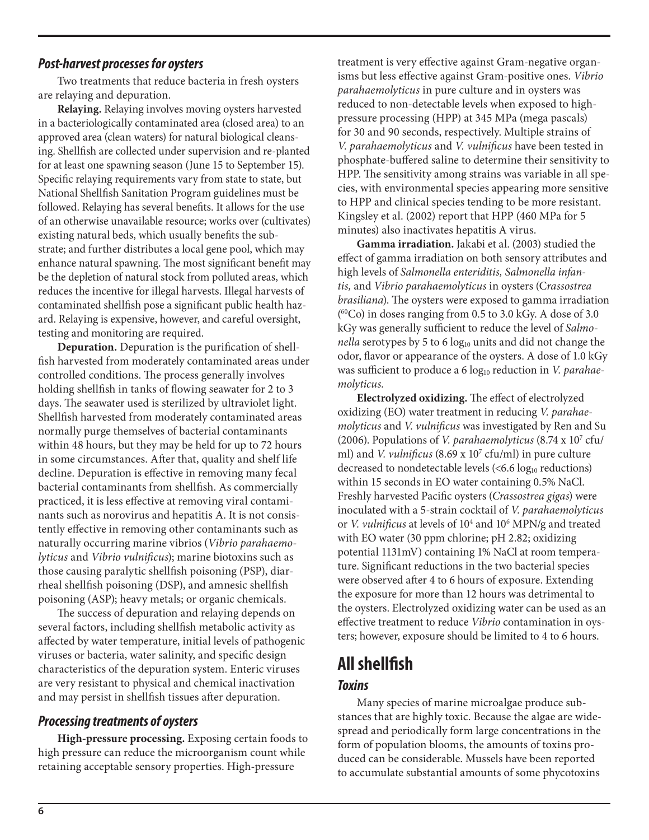#### *Post-harvest processes for oysters*

Two treatments that reduce bacteria in fresh oysters are relaying and depuration.

**Relaying.** Relaying involves moving oysters harvested in a bacteriologically contaminated area (closed area) to an approved area (clean waters) for natural biological cleansing. Shellfish are collected under supervision and re-planted for at least one spawning season (June 15 to September 15). Specific relaying requirements vary from state to state, but National Shellfish Sanitation Program guidelines must be followed. Relaying has several benefits. It allows for the use of an otherwise unavailable resource; works over (cultivates) existing natural beds, which usually benefits the substrate; and further distributes a local gene pool, which may enhance natural spawning. The most significant benefit may be the depletion of natural stock from polluted areas, which reduces the incentive for illegal harvests. Illegal harvests of contaminated shellfish pose a significant public health hazard. Relaying is expensive, however, and careful oversight, testing and monitoring are required.

**Depuration.** Depuration is the purification of shellfish harvested from moderately contaminated areas under controlled conditions. The process generally involves holding shellfish in tanks of flowing seawater for 2 to 3 days. The seawater used is sterilized by ultraviolet light. Shellfish harvested from moderately contaminated areas normally purge themselves of bacterial contaminants within 48 hours, but they may be held for up to 72 hours in some circumstances. After that, quality and shelf life decline. Depuration is effective in removing many fecal bacterial contaminants from shellfish. As commercially practiced, it is less effective at removing viral contaminants such as norovirus and hepatitis A. It is not consistently effective in removing other contaminants such as naturally occurring marine vibrios (*Vibrio parahaemolyticus* and *Vibrio vulnificus*); marine biotoxins such as those causing paralytic shellfish poisoning (PSP), diarrheal shellfish poisoning (DSP), and amnesic shellfish poisoning (ASP); heavy metals; or organic chemicals.

The success of depuration and relaying depends on several factors, including shellfish metabolic activity as affected by water temperature, initial levels of pathogenic viruses or bacteria, water salinity, and specific design characteristics of the depuration system. Enteric viruses are very resistant to physical and chemical inactivation and may persist in shellfish tissues after depuration.

#### *Processing treatments of oysters*

**High-pressure processing.** Exposing certain foods to high pressure can reduce the microorganism count while retaining acceptable sensory properties. High-pressure

treatment is very effective against Gram-negative organisms but less effective against Gram-positive ones. *Vibrio parahaemolyticus* in pure culture and in oysters was reduced to non-detectable levels when exposed to highpressure processing (HPP) at 345 MPa (mega pascals) for 30 and 90 seconds, respectively. Multiple strains of *V. parahaemolyticus* and *V. vulnificus* have been tested in phosphate-buffered saline to determine their sensitivity to HPP. The sensitivity among strains was variable in all species, with environmental species appearing more sensitive to HPP and clinical species tending to be more resistant. Kingsley et al. (2002) report that HPP (460 MPa for 5 minutes) also inactivates hepatitis A virus.

**Gamma irradiation.** Jakabi et al. (2003) studied the effect of gamma irradiation on both sensory attributes and high levels of *Salmonella enteriditis, Salmonella infantis,* and *Vibrio parahaemolyticus* in oysters (C*rassostrea brasiliana*). The oysters were exposed to gamma irradiation ( 60Co) in doses ranging from 0.5 to 3.0 kGy. A dose of 3.0 kGy was generally sufficient to reduce the level of *Salmonella* serotypes by 5 to 6 log<sub>10</sub> units and did not change the odor, flavor or appearance of the oysters. A dose of 1.0 kGy was sufficient to produce a 6 log<sub>10</sub> reduction in *V. parahaemolyticus.*

**Electrolyzed oxidizing.** The effect of electrolyzed oxidizing (EO) water treatment in reducing *V. parahaemolyticus* and *V. vulnificus* was investigated by Ren and Su (2006). Populations of *V. parahaemolyticus* (8.74 x 107 cfu/ ml) and *V. vulnificus* (8.69 x 10<sup>7</sup> cfu/ml) in pure culture decreased to nondetectable levels  $( $6.6 \log_{10}$  reductions)$ within 15 seconds in EO water containing 0.5% NaCl. Freshly harvested Pacific oysters (*Crassostrea gigas*) were inoculated with a 5-strain cocktail of *V. parahaemolyticus* or *V. vulnificus* at levels of 10<sup>4</sup> and 10<sup>6</sup> MPN/g and treated with EO water (30 ppm chlorine; pH 2.82; oxidizing potential 1131mV) containing 1% NaCl at room temperature. Significant reductions in the two bacterial species were observed after 4 to 6 hours of exposure. Extending the exposure for more than 12 hours was detrimental to the oysters. Electrolyzed oxidizing water can be used as an effective treatment to reduce *Vibrio* contamination in oysters; however, exposure should be limited to 4 to 6 hours.

# **All shellfish**

#### *Toxins*

Many species of marine microalgae produce substances that are highly toxic. Because the algae are widespread and periodically form large concentrations in the form of population blooms, the amounts of toxins produced can be considerable. Mussels have been reported to accumulate substantial amounts of some phycotoxins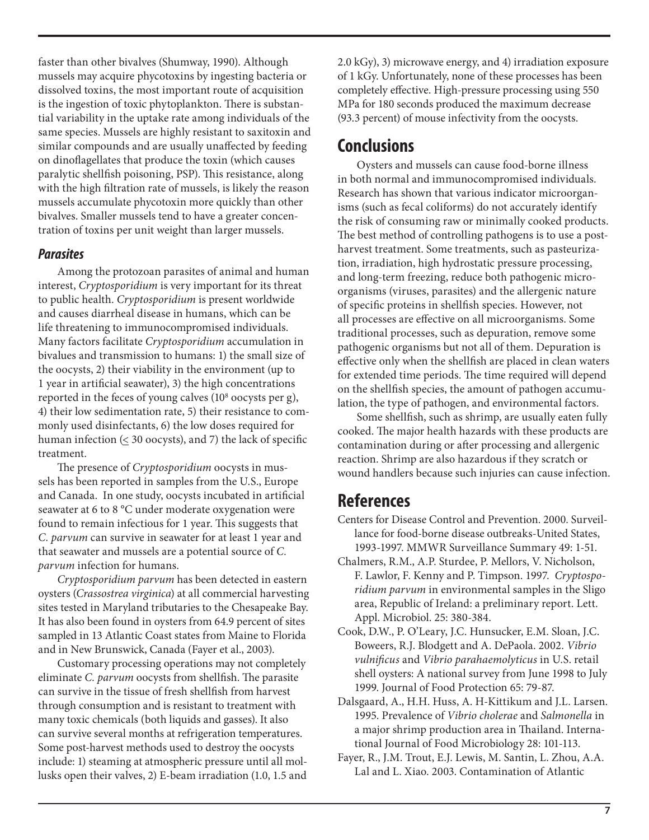faster than other bivalves (Shumway, 1990). Although mussels may acquire phycotoxins by ingesting bacteria or dissolved toxins, the most important route of acquisition is the ingestion of toxic phytoplankton. There is substantial variability in the uptake rate among individuals of the same species. Mussels are highly resistant to saxitoxin and similar compounds and are usually unaffected by feeding on dinoflagellates that produce the toxin (which causes paralytic shellfish poisoning, PSP). This resistance, along with the high filtration rate of mussels, is likely the reason mussels accumulate phycotoxin more quickly than other bivalves. Smaller mussels tend to have a greater concentration of toxins per unit weight than larger mussels.

#### *Parasites*

Among the protozoan parasites of animal and human interest, *Cryptosporidium* is very important for its threat to public health. *Cryptosporidium* is present worldwide and causes diarrheal disease in humans, which can be life threatening to immunocompromised individuals. Many factors facilitate *Cryptosporidium* accumulation in bivalues and transmission to humans: 1) the small size of the oocysts, 2) their viability in the environment (up to 1 year in artificial seawater), 3) the high concentrations reported in the feces of young calves (10<sup>8</sup> oocysts per g), 4) their low sedimentation rate, 5) their resistance to commonly used disinfectants, 6) the low doses required for human infection  $( \leq 30$  oocysts), and 7) the lack of specific treatment.

The presence of *Cryptosporidium* oocysts in mussels has been reported in samples from the U.S., Europe and Canada. In one study, oocysts incubated in artificial seawater at 6 to 8 °C under moderate oxygenation were found to remain infectious for 1 year. This suggests that *C. parvum* can survive in seawater for at least 1 year and that seawater and mussels are a potential source of *C. parvum* infection for humans.

*Cryptosporidium parvum* has been detected in eastern oysters (*Crassostrea virginica*) at all commercial harvesting sites tested in Maryland tributaries to the Chesapeake Bay. It has also been found in oysters from 64.9 percent of sites sampled in 13 Atlantic Coast states from Maine to Florida and in New Brunswick, Canada (Fayer et al., 2003).

Customary processing operations may not completely eliminate *C. parvum* oocysts from shellfish. The parasite can survive in the tissue of fresh shellfish from harvest through consumption and is resistant to treatment with many toxic chemicals (both liquids and gasses). It also can survive several months at refrigeration temperatures. Some post-harvest methods used to destroy the oocysts include: 1) steaming at atmospheric pressure until all mollusks open their valves, 2) E-beam irradiation (1.0, 1.5 and 2.0 kGy), 3) microwave energy, and 4) irradiation exposure of 1 kGy. Unfortunately, none of these processes has been completely effective. High-pressure processing using 550 MPa for 180 seconds produced the maximum decrease (93.3 percent) of mouse infectivity from the oocysts.

# **Conclusions**

Oysters and mussels can cause food-borne illness in both normal and immunocompromised individuals. Research has shown that various indicator microorganisms (such as fecal coliforms) do not accurately identify the risk of consuming raw or minimally cooked products. The best method of controlling pathogens is to use a postharvest treatment. Some treatments, such as pasteurization, irradiation, high hydrostatic pressure processing, and long-term freezing, reduce both pathogenic microorganisms (viruses, parasites) and the allergenic nature of specific proteins in shellfish species. However, not all processes are effective on all microorganisms. Some traditional processes, such as depuration, remove some pathogenic organisms but not all of them. Depuration is effective only when the shellfish are placed in clean waters for extended time periods. The time required will depend on the shellfish species, the amount of pathogen accumulation, the type of pathogen, and environmental factors.

Some shellfish, such as shrimp, are usually eaten fully cooked. The major health hazards with these products are contamination during or after processing and allergenic reaction. Shrimp are also hazardous if they scratch or wound handlers because such injuries can cause infection.

## **References**

- Centers for Disease Control and Prevention. 2000. Surveillance for food-borne disease outbreaks-United States, 1993-1997. MMWR Surveillance Summary 49: 1-51.
- Chalmers, R.M., A.P. Sturdee, P. Mellors, V. Nicholson, F. Lawlor, F. Kenny and P. Timpson. 1997. *Cryptosporidium parvum* in environmental samples in the Sligo area, Republic of Ireland: a preliminary report. Lett. Appl. Microbiol. 25: 380-384.
- Cook, D.W., P. O'Leary, J.C. Hunsucker, E.M. Sloan, J.C. Boweers, R.J. Blodgett and A. DePaola. 2002. *Vibrio vulnificus* and *Vibrio parahaemolyticus* in U.S. retail shell oysters: A national survey from June 1998 to July 1999. Journal of Food Protection 65: 79-87.
- Dalsgaard, A., H.H. Huss, A. H-Kittikum and J.L. Larsen. 1995. Prevalence of *Vibrio cholerae* and *Salmonella* in a major shrimp production area in Thailand. International Journal of Food Microbiology 28: 101-113.
- Fayer, R., J.M. Trout, E.J. Lewis, M. Santin, L. Zhou, A.A. Lal and L. Xiao. 2003. Contamination of Atlantic